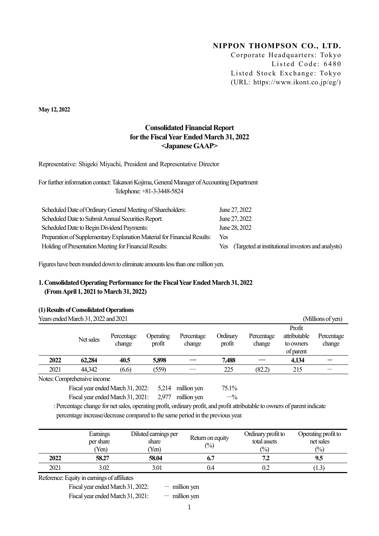# NIPPON THOMPSON CO., LTD.

Corporate Headquarters: Tokyo Listed Code: 6480 Listed Stock Exchange: Tokyo (URL: https://www.ikont.co.jp/eg/)

May 12, 2022

## Consolidated Financial Report for the Fiscal Year Ended March 31, 2022 <Japanese GAAP>

Representative: Shigeki Miyachi, President and Representative Director

For further information contact: Takanori Kojima, General Manager of Accounting Department Telephone: +81-3-3448-5824

| Scheduled Date of Ordinary General Meeting of Shareholders:              | June 27, 2022                                          |
|--------------------------------------------------------------------------|--------------------------------------------------------|
| Scheduled Date to Submit Annual Securities Report:                       | June 27, 2022                                          |
| Scheduled Date to Begin Dividend Payments:                               | June 28, 2022                                          |
| Preparation of Supplementary Explanation Material for Financial Results: | Yes.                                                   |
| Holding of Presentation Meeting for Financial Results:                   | Yes (Targeted at institutional investors and analysts) |

Figures have been rounded down to eliminate amounts less than one million yen.

## 1. Consolidated Operating Performance for the Fiscal Year Ended March 31, 2022 (From April 1, 2021 to March 31, 2022)

## (1) Results of Consolidated Operations

|      | Years ended March 31, 2022 and 2021                     |                      |                     |                      |                    |                      |                                                  | (Millions of yen)    |
|------|---------------------------------------------------------|----------------------|---------------------|----------------------|--------------------|----------------------|--------------------------------------------------|----------------------|
|      | Net sales                                               | Percentage<br>change | Operating<br>profit | Percentage<br>change | Ordinary<br>profit | Percentage<br>change | Profit<br>attributable<br>to owners<br>of parent | Percentage<br>change |
| 2022 | 62,284                                                  | 40.5                 | 5,898               |                      | 7,488              |                      | 4.134                                            |                      |
| 2021 | 44,342                                                  | (6.6)                | (559)               |                      | 225                | (82.2)               | 215                                              |                      |
|      | $\overline{\rm M}_{\rm other}$ Commode an air to income |                      |                     |                      |                    |                      |                                                  |                      |

Notes: Comprehensive income

Fiscal year ended March 31, 2022: 5,214 million yen 75.1% Fiscal year ended March 31, 2021:  $2,977$  million yen  $-$ %

: Percentage change for net sales, operating profit, ordinary profit, and profit attributable to owners of parent indicate percentage increase/decrease compared to the same period in the previous year.

|      | Earnings<br>per share<br>Yen) | Diluted earnings per<br>share<br>Yen) | Return on equity<br>$\binom{0}{0}$ | Ordinary profit to<br>total assets<br>$\binom{0}{0}$ | Operating profit to<br>net sales<br>$\frac{(0)}{0}$ |
|------|-------------------------------|---------------------------------------|------------------------------------|------------------------------------------------------|-----------------------------------------------------|
| 2022 | 58.27                         | 58.04                                 |                                    | ے ،                                                  | 9.5                                                 |
| 2021 | 3.02                          | 3.01                                  | 0.4                                | 0.2                                                  | 1.3                                                 |

Reference: Equity in earnings of affiliates

Fiscal year ended March 31, 2022:  $-$  million yen

Fiscal year ended March 31, 2021:  $-$  million yen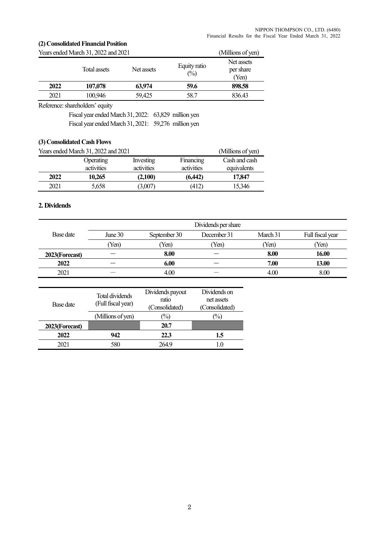## (2) Consolidated Financial Position

|      | Years ended March 31, 2022 and 2021 |            |                     | (Millions of yen)                |
|------|-------------------------------------|------------|---------------------|----------------------------------|
|      | Total assets                        | Net assets | Equity ratio<br>(%) | Net assets<br>per share<br>(Yen) |
| 2022 | 107,078                             | 63,974     | 59.6                | 898.58                           |
| 2021 | 100,946                             | 59,425     | 58.7                | 836.43                           |

Reference: shareholders' equity

Fiscal year ended March 31, 2022: 63,829 million yen Fiscal year ended March 31, 2021: 59,276 million yen

## (3) Consolidated Cash Flows

|      | Years ended March 31, 2022 and 2021 |                         |                         | (Millions of yen)            |
|------|-------------------------------------|-------------------------|-------------------------|------------------------------|
|      | Operating<br>activities             | Investing<br>activities | Financing<br>activities | Cash and cash<br>equivalents |
| 2022 | 10,265                              | (2,100)                 | (6,442)                 | 17,847                       |
| 2021 | 5,658                               | (3,007)                 | (412)                   | 15,346                       |

## 2. Dividends

|                | Dividends per share |              |             |          |                  |
|----------------|---------------------|--------------|-------------|----------|------------------|
| Base date      | June $30$           | September 30 | December 31 | March 31 | Full fiscal year |
|                | (Yen)               | (Yen)        | Yen)        | Yen)     | (Yen)            |
| 2023(Forecast) |                     | 8.00         |             | 8.00     | 16.00            |
| 2022           |                     | 6.00         |             | 7.00     | 13.00            |
| 2021           | _                   | 4.00         |             | 4.00     | 8.00             |

| Base date      | Total dividends<br>(Full fiscal year) | Dividends payout<br>ratio<br>(Consolidated) | Dividends on<br>net assets<br>(Consolidated) |
|----------------|---------------------------------------|---------------------------------------------|----------------------------------------------|
|                | (Millions of yen)                     | $(\%)$                                      | $\frac{(0,0)}{0}$                            |
| 2023(Forecast) |                                       | 20.7                                        |                                              |
| 2022           | 942                                   | 22.3                                        | 1.5                                          |
| 2021           | 580                                   | 2649                                        |                                              |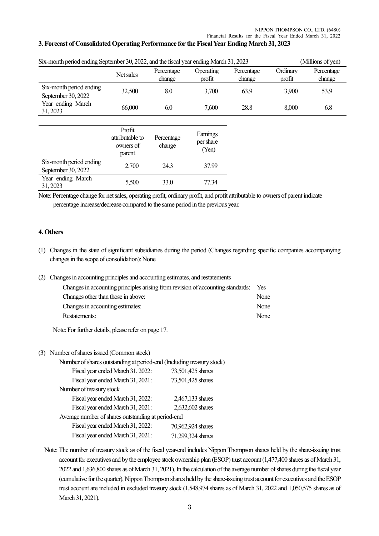## 3. Forecast of Consolidated Operating Performance for the Fiscal Year Ending March 31, 2023

| Six-month period ending September 30, 2022, and the fiscal year ending March 31, 2023<br>(Millions of yen) |                                                  |                      |                                |                      |                    |                      |  |
|------------------------------------------------------------------------------------------------------------|--------------------------------------------------|----------------------|--------------------------------|----------------------|--------------------|----------------------|--|
|                                                                                                            | Net sales                                        | Percentage<br>change | Operating<br>profit            | Percentage<br>change | Ordinary<br>profit | Percentage<br>change |  |
| Six-month period ending<br>September 30, 2022                                                              | 32,500                                           | 8.0                  | 3,700                          | 63.9                 | 3,900              | 53.9                 |  |
| Year ending March<br>31, 2023                                                                              | 66,000                                           | 6.0                  | 7,600                          | 28.8                 | 8,000              | 6.8                  |  |
|                                                                                                            |                                                  |                      |                                |                      |                    |                      |  |
|                                                                                                            | Profit<br>attributable to<br>owners of<br>parent | Percentage<br>change | Earnings<br>per share<br>(Yen) |                      |                    |                      |  |
| Six-month period ending<br>September 30, 2022                                                              | 2,700                                            | 24.3                 | 37.99                          |                      |                    |                      |  |
| Year ending March<br>31, 2023                                                                              | 5,500                                            | 33.0                 | 77.34                          |                      |                    |                      |  |

Six-month period ending September 30, 2022, and the fiscal year ending March 31, 2023 (Millions of yen)

Note: Percentage change for net sales, operating profit, ordinary profit, and profit attributable to owners of parent indicate percentage increase/decrease compared to the same period in the previous year.

#### 4. Others

- (1) Changes in the state of significant subsidiaries during the period (Changes regarding specific companies accompanying changes in the scope of consolidation): None
- (2) Changes in accounting principles and accounting estimates, and restatements

| Changes in accounting principles arising from revision of accounting standards: | Yes   |
|---------------------------------------------------------------------------------|-------|
| Changes other than those in above:                                              | None  |
| Changes in accounting estimates:                                                | None  |
| Restatements:                                                                   | None. |

Note: For further details, please refer on page 17.

### (3) Number of shares issued (Common stock)

| Number of shares outstanding at period-end (Including treasury stock) |                   |
|-----------------------------------------------------------------------|-------------------|
| Fiscal year ended March 31, 2022:                                     | 73,501,425 shares |
| Fiscal year ended March 31, 2021:                                     | 73,501,425 shares |
| Number of treasury stock                                              |                   |
| Fiscal year ended March 31, 2022:                                     | 2,467,133 shares  |
| Fiscal year ended March 31, 2021:                                     | 2,632,602 shares  |
| Average number of shares outstanding at period-end                    |                   |
| Fiscal year ended March 31, 2022:                                     | 70,962,924 shares |
| Fiscal year ended March 31, 2021:                                     | 71,299,324 shares |

Note: The number of treasury stock as of the fiscal year-end includes Nippon Thompson shares held by the share-issuing trust account for executives and by the employee stock ownership plan (ESOP) trust account (1,477,400 shares as of March 31, 2022 and 1,636,800 shares as of March 31, 2021). In the calculation of the average number of shares during the fiscal year (cumulative for the quarter), Nippon Thompson shares held by the share-issuing trust account for executives and the ESOP trust account are included in excluded treasury stock (1,548,974 shares as of March 31, 2022 and 1,050,575 shares as of March 31, 2021).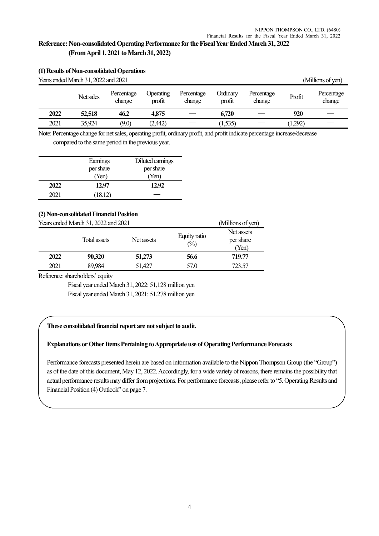# Reference: Non-consolidated Operating Performance for the Fiscal Year Ended March 31, 2022 (From April 1, 2021 to March 31, 2022)

|      | (1) Results of Non-consolidated Operations |                      |                     |                      |                           |                      |         |                      |
|------|--------------------------------------------|----------------------|---------------------|----------------------|---------------------------|----------------------|---------|----------------------|
|      | Years ended March 31, 2022 and 2021        |                      |                     |                      |                           |                      |         | (Millions of yen)    |
|      | Net sales                                  | Percentage<br>change | Operating<br>profit | Percentage<br>change | <b>Ordinary</b><br>profit | Percentage<br>change | Profit  | Percentage<br>change |
| 2022 | 52,518                                     | 46.2                 | 4,875               |                      | 6,720                     |                      | 920     |                      |
| 2021 | 35,924                                     | (9.0)                | (2,442)             |                      | (1, 535)                  |                      | (1,292) |                      |

Note: Percentage change for net sales, operating profit, ordinary profit, and profit indicate percentage increase/decrease compared to the same period in the previous year.

|      | Earnings  | Diluted earnings |
|------|-----------|------------------|
|      | per share | per share        |
|      | (Yen)     | (Yen)            |
| 2022 | 12.97     | 12.92            |
| 2021 | (18.12)   |                  |

## (2) Non-consolidated Financial Position

|      | Years ended March 31, 2022 and 2021 |            | (Millions of yen)   |                                  |
|------|-------------------------------------|------------|---------------------|----------------------------------|
|      | Total assets                        | Net assets | Equity ratio<br>(%) | Net assets<br>per share<br>(Yen) |
| 2022 | 90,320                              | 51,273     | 56.6                | 719.77                           |
| 2021 | 89,984                              | 51.427     | 57.0                | 723.57                           |

Reference: shareholders' equity

Fiscal year ended March 31, 2022: 51,128 million yen

Fiscal year ended March 31, 2021: 51,278 million yen

## These consolidated financial report are not subject to audit.

## Explanations or Other Items Pertaining to Appropriate use of Operating Performance Forecasts

Performance forecasts presented herein are based on information available to the Nippon Thompson Group (the "Group") as of the date of this document, May 12, 2022. Accordingly, for a wide variety of reasons, there remains the possibility that actual performance results may differ from projections. For performance forecasts, please refer to "5. Operating Results and Financial Position (4) Outlook" on page 7.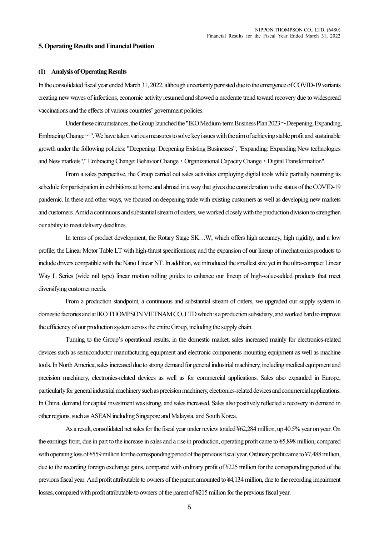#### 5. Operating Results and Financial Position

#### (1) Analysis of Operating Results

In the consolidated fiscal year ended March 31, 2022, although uncertainty persisted due to the emergence of COVID-19 variants creating new waves of infections, economic activity resumed and showed a moderate trend toward recovery due to widespread vaccinations and the effects of various countries' government policies.

Under these circumstances, the Group launched the "IKO Medium-term Business Plan 2023~Deepening, Expanding, Embracing Change $\sim$ ". We have taken various measures to solve key issues with the aim of achieving stable profit and sustainable growth under the following policies: "Deepening: Deepening Existing Businesses", "Expanding: Expanding New technologies and New markets"," Embracing Change: Behavior Change・Organizational Capacity Change・Digital Transformation".

From a sales perspective, the Group carried out sales activities employing digital tools while partially resuming its schedule for participation in exhibitions at home and abroad in a way that gives due consideration to the status of the COVID-19 pandemic. In these and other ways, we focused on deepening trade with existing customers as well as developing new markets and customers. Amid a continuous and substantial stream of orders, we worked closely with the production division to strengthen our ability to meet delivery deadlines.

In terms of product development, the Rotary Stage SK…W, which offers high accuracy, high rigidity, and a low profile; the Linear Motor Table LT with high-thrust specifications; and the expansion of our lineup of mechatronics products to include drivers compatible with the Nano Linear NT. In addition, we introduced the smallest size yet in the ultra-compact Linear Way L Series (wide rail type) linear motion rolling guides to enhance our lineup of high-value-added products that meet diversifying customer needs.

 From a production standpoint, a continuous and substantial stream of orders, we upgraded our supply system in domestic factories and at IKO THOMPSON VIETNAM CO.,LTD which is a production subsidiary, and worked hard to improve the efficiency of our production system across the entire Group, including the supply chain.

 Turning to the Group's operational results, in the domestic market, sales increased mainly for electronics-related devices such as semiconductor manufacturing equipment and electronic components mounting equipment as well as machine tools. In North America, sales increased due to strong demand for general industrial machinery, including medical equipment and precision machinery, electronics-related devices as well as for commercial applications. Sales also expanded in Europe, particularly for general industrial machinery such as precision machinery, electronics-related devices and commercial applications. In China, demand for capital investment was strong, and sales increased. Sales also positively reflected a recovery in demand in other regions, such as ASEAN including Singapore and Malaysia, and South Korea.

As a result, consolidated net sales for the fiscal year under review totaled ¥62,284 million, up 40.5% year on year. On the earnings front, due in part to the increase in sales and a rise in production, operating profit came to ¥5,898 million, compared with operating loss of ¥559 million for the corresponding period of the previous fiscal year. Ordinary profit came to ¥7,488 million, due to the recording foreign exchange gains, compared with ordinary profit of ¥225 million for the corresponding period of the previous fiscal year. And profit attributable to owners of the parent amounted to ¥4,134 million, due to the recording impairment losses, compared with profit attributable to owners of the parent of ¥215 million for the previous fiscal year.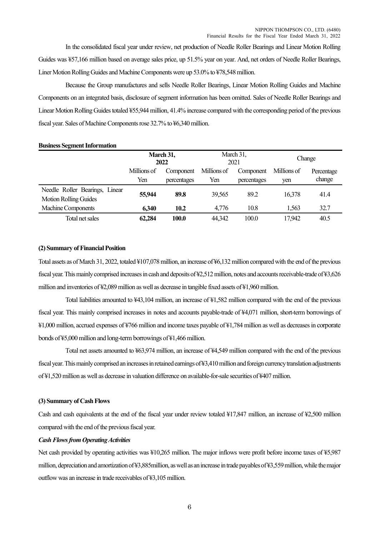In the consolidated fiscal year under review, net production of Needle Roller Bearings and Linear Motion Rolling Guides was ¥57,166 million based on average sales price, up 51.5% year on year. And, net orders of Needle Roller Bearings, Liner Motion Rolling Guides and Machine Components were up 53.0% to ¥78,548 million.

Because the Group manufactures and sells Needle Roller Bearings, Linear Motion Rolling Guides and Machine Components on an integrated basis, disclosure of segment information has been omitted. Sales of Needle Roller Bearings and Linear Motion Rolling Guides totaled ¥55,944 million, 41.4% increase compared with the corresponding period of the previous fiscal year. Sales of Machine Components rose 32.7% to ¥6,340 million.

#### Business Segment Information

|                                                                | March 31,<br>2022        |             | March 31,<br>2021 |             | Change |            |
|----------------------------------------------------------------|--------------------------|-------------|-------------------|-------------|--------|------------|
|                                                                | Millions of<br>Component |             | Millions of       | Component   |        | Percentage |
|                                                                | Yen                      | percentages | Yen               | percentages | yen    | change     |
| Needle Roller Bearings, Linear<br><b>Motion Rolling Guides</b> | 55,944                   | 89.8        | 39,565            | 89.2        | 16.378 | 41.4       |
| Machine Components                                             | 6,340                    | 10.2        | 4,776             | 10.8        | 1,563  | 32.7       |
| Total net sales                                                | 62,284                   | 100.0       | 44,342            | 100.0       | 17,942 | 40.5       |

### (2) Summary of Financial Position

Total assets as of March 31, 2022, totaled ¥107,078 million, an increase of ¥6,132 million compared with the end of the previous fiscal year. This mainly comprised increases in cash and deposits of ¥2,512 million, notes and accounts receivable-trade of ¥3,626 million and inventories of ¥2,089 million as well as decrease in tangible fixed assets of ¥1,960 million.

Total liabilities amounted to ¥43,104 million, an increase of ¥1,582 million compared with the end of the previous fiscal year. This mainly comprised increases in notes and accounts payable-trade of ¥4,071 million, short-term borrowings of ¥1,000 million, accrued expenses of ¥766 million and income taxes payable of ¥1,784 million as well as decreases in corporate bonds of ¥5,000 million and long-term borrowings of ¥1,466 million.

Total net assets amounted to ¥63,974 million, an increase of ¥4,549 million compared with the end of the previous fiscal year. This mainly comprised an increases in retained earnings of ¥3,410 million and foreign currency translation adjustments of ¥1,520 million as well as decrease in valuation difference on available-for-sale securities of ¥407 million.

#### (3) Summary of Cash Flows

Cash and cash equivalents at the end of the fiscal year under review totaled ¥17,847 million, an increase of ¥2,500 million compared with the end of the previous fiscal year.

#### Cash Flows from Operating Activities

Net cash provided by operating activities was ¥10,265 million. The major inflows were profit before income taxes of ¥5,987 million, depreciation and amortization of ¥3,885million, as well as an increase in trade payables of ¥3,559 million, while the major outflow was an increase in trade receivables of ¥3,105 million.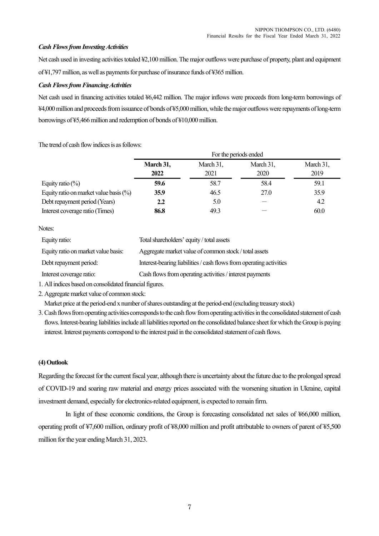## Cash Flows from Investing Activities

Net cash used in investing activities totaled ¥2,100 million. The major outflows were purchase of property, plant and equipment of ¥1,797 million, as well as payments for purchase of insurance funds of ¥365 million.

## Cash Flows from Financing Activities

Net cash used in financing activities totaled ¥6,442 million. The major inflows were proceeds from long-term borrowings of ¥4,000 million and proceeds from issuance of bonds of ¥5,000 million, while the major outflows were repayments of long-term borrowings of ¥5,466 million and redemption of bonds of ¥10,000 million.

The trend of cash flow indices is as follows:

|                                           | For the periods ended |                   |                   |                   |  |  |
|-------------------------------------------|-----------------------|-------------------|-------------------|-------------------|--|--|
|                                           | March 31,<br>2022     | March 31,<br>2021 | March 31,<br>2020 | March 31,<br>2019 |  |  |
| Equity ratio $(\%)$                       | 59.6                  | 58.7              | 58.4              | 59.1              |  |  |
| Equity ratio on market value basis $(\%)$ | 35.9                  | 46.5              | 27.0              | 35.9              |  |  |
| Debt repayment period (Years)             | 2.2                   | 5.0               |                   | 4.2               |  |  |
| Interest coverage ratio (Times)           | 86.8                  | 49.3              |                   | 60.0              |  |  |

Notes:

| Equity ratio:                       | Total shareholders' equity / total assets                           |
|-------------------------------------|---------------------------------------------------------------------|
| Equity ratio on market value basis: | Aggregate market value of common stock / total assets               |
| Debt repayment period:              | Interest-bearing liabilities / cash flows from operating activities |
| Interest coverage ratio:            | Cash flows from operating activities / interest payments            |

1. All indices based on consolidated financial figures.

2. Aggregate market value of common stock:

Market price at the period-end x number of shares outstanding at the period-end (excluding treasury stock)

3. Cash flows from operating activities corresponds to the cash flow from operating activities in the consolidated statement of cash flows. Interest-bearing liabilities include all liabilities reported on the consolidated balance sheet for which the Group is paying interest. Interest payments correspond to the interest paid in the consolidated statement of cash flows.

## (4) Outlook

Regarding the forecast for the current fiscal year, although there is uncertainty about the future due to the prolonged spread of COVID-19 and soaring raw material and energy prices associated with the worsening situation in Ukraine, capital investment demand, especially for electronics-related equipment, is expected to remain firm.

In light of these economic conditions, the Group is forecasting consolidated net sales of ¥66,000 million, operating profit of ¥7,600 million, ordinary profit of ¥8,000 million and profit attributable to owners of parent of ¥5,500 million for the year ending March 31, 2023.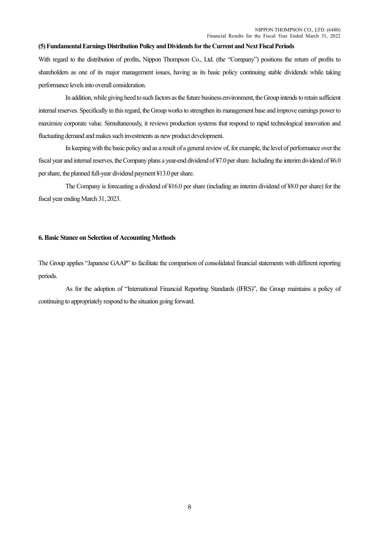#### (5) Fundamental Earnings Distribution Policy and Dividends for the Current and Next Fiscal Periods

With regard to the distribution of profits, Nippon Thompson Co., Ltd. (the "Company") positions the return of profits to shareholders as one of its major management issues, having as its basic policy continuing stable dividends while taking performance levels into overall consideration.

In addition, while giving heed to such factors as the future business environment, the Group intends to retain sufficient internal reserves. Specifically in this regard, the Group works to strengthen its management base and improve earnings power to maximize corporate value. Simultaneously, it reviews production systems that respond to rapid technological innovation and fluctuating demand and makes such investments as new product development.

In keeping with the basic policy and as a result of a general review of, for example, the level of performance over the fiscal year and internal reserves, the Company plans a year-end dividend of ¥7.0 per share. Including the interim dividend of ¥6.0 per share, the planned full-year dividend payment ¥13.0 per share.

The Company is forecasting a dividend of ¥16.0 per share (including an interim dividend of ¥8.0 per share) for the fiscal year ending March 31, 2023.

#### 6. Basic Stance on Selection of Accounting Methods

The Group applies "Japanese GAAP" to facilitate the comparison of consolidated financial statements with different reporting periods.

 As for the adoption of "International Financial Reporting Standards (IFRS)", the Group maintains a policy of continuing to appropriately respond to the situation going forward.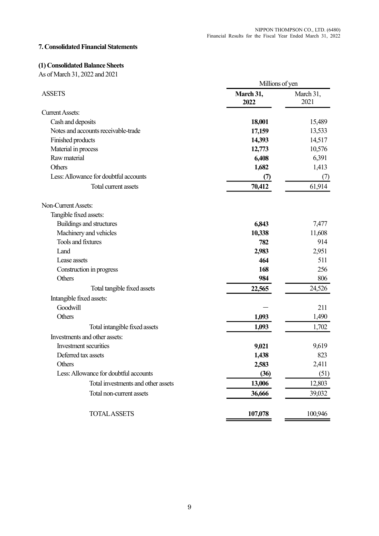# 7. Consolidated Financial Statements

## (1) Consolidated Balance Sheets

As of March 31, 2022 and 2021

|                                       | Millions of yen   |                   |
|---------------------------------------|-------------------|-------------------|
| <b>ASSETS</b>                         | March 31,<br>2022 | March 31,<br>2021 |
| <b>Current Assets:</b>                |                   |                   |
| Cash and deposits                     | 18,001            | 15,489            |
| Notes and accounts receivable-trade   | 17,159            | 13,533            |
| Finished products                     | 14,393            | 14,517            |
| Material in process                   | 12,773            | 10,576            |
| Raw material                          | 6,408             | 6,391             |
| Others                                | 1,682             | 1,413             |
| Less: Allowance for doubtful accounts | (7)               | (7)               |
| Total current assets                  | 70,412            | 61,914            |
| Non-Current Assets:                   |                   |                   |
| Tangible fixed assets:                |                   |                   |
| Buildings and structures              | 6,843             | 7,477             |
| Machinery and vehicles                | 10,338            | 11,608            |
| <b>Tools and fixtures</b>             | 782               | 914               |
| Land                                  | 2,983             | 2,951             |
| Lease assets                          | 464               | 511               |
| Construction in progress              | 168               | 256               |
| Others                                | 984               | 806               |
| Total tangible fixed assets           | 22,565            | 24,526            |
| Intangible fixed assets:              |                   |                   |
| Goodwill                              |                   | 211               |
| Others                                | 1,093             | 1,490             |
| Total intangible fixed assets         | 1,093             | 1,702             |
| Investments and other assets:         |                   |                   |
| Investment securities                 | 9,021             | 9,619             |
| Deferred tax assets                   | 1,438             | 823               |
| Others                                | 2,583             | 2,411             |
| Less: Allowance for doubtful accounts | (36)              | (51)              |
| Total investments and other assets    | 13,006            | 12,803            |
| Total non-current assets              | 36,666            | 39,032            |
| <b>TOTAL ASSETS</b>                   | 107,078           | 100,946           |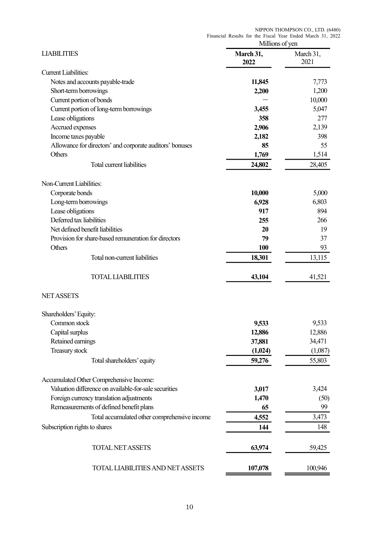|                                                          | Financial Results for the Fiscal Year Ended March 31, 2022 | NIPPON THOMPSON CO., LTD. (6480) |
|----------------------------------------------------------|------------------------------------------------------------|----------------------------------|
|                                                          | Millions of yen                                            |                                  |
| <b>LIABILITIES</b>                                       | March 31,<br>2022                                          | March 31,<br>2021                |
| <b>Current Liabilities:</b>                              |                                                            |                                  |
| Notes and accounts payable-trade                         | 11,845                                                     | 7,773                            |
| Short-term borrowings                                    | 2,200                                                      | 1,200                            |
| Current portion of bonds                                 |                                                            | 10,000                           |
| Current portion of long-term borrowings                  | 3,455                                                      | 5,047                            |
| Lease obligations                                        | 358                                                        | 277                              |
| Accrued expenses                                         | 2,906                                                      | 2,139                            |
| Income taxes payable                                     | 2,182                                                      | 398                              |
| Allowance for directors' and corporate auditors' bonuses | 85                                                         | 55                               |
| Others                                                   | 1,769                                                      | 1,514                            |
| Total current liabilities                                | 24,802                                                     | 28,405                           |
|                                                          |                                                            |                                  |
| Non-Current Liabilities:<br>Corporate bonds              | 10,000                                                     | 5,000                            |
| Long-term borrowings                                     | 6,928                                                      | 6,803                            |
| Lease obligations                                        | 917                                                        | 894                              |
| Deferred tax liabilities                                 | 255                                                        | 266                              |
| Net defined benefit liabilities                          | 20                                                         | 19                               |
| Provision for share-based remuneration for directors     | 79                                                         | 37                               |
| Others                                                   | <b>100</b>                                                 | 93                               |
|                                                          |                                                            |                                  |
| Total non-current liabilities                            | 18,301                                                     | 13,115                           |
| <b>TOTAL LIABILITIES</b>                                 | 43,104                                                     | 41,521                           |
| <b>NET ASSETS</b>                                        |                                                            |                                  |
| Shareholders' Equity:                                    |                                                            |                                  |
| Common stock                                             | 9,533                                                      | 9,533                            |
| Capital surplus                                          | 12,886                                                     | 12,886                           |
| Retained earnings                                        | 37,881                                                     | 34,471                           |
| Treasury stock                                           | (1,024)                                                    | (1,087)                          |
| Total shareholders' equity                               | 59,276                                                     | 55,803                           |
| Accumulated Other Comprehensive Income:                  |                                                            |                                  |
| Valuation difference on available-for-sale securities    | 3,017                                                      | 3,424                            |
|                                                          |                                                            |                                  |
| Foreign currency translation adjustments                 | 1,470                                                      | (50)                             |
| Remeasurements of defined benefit plans                  | 65                                                         | 99                               |
| Total accumulated other comprehensive income             | 4,552                                                      | 3,473                            |
| Subscription rights to shares                            | 144                                                        | 148                              |
| <b>TOTAL NET ASSETS</b>                                  | 63,974                                                     | 59,425                           |
| TOTAL LIABILITIES AND NET ASSETS                         | 107,078                                                    | 100,946                          |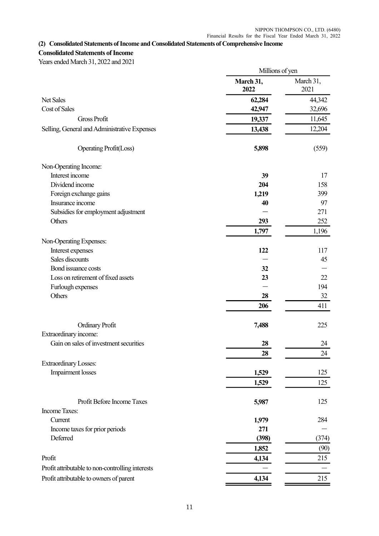## (2) Consolidated Statements of Income and Consolidated Statements of Comprehensive Income

## Consolidated Statements of Income

Years ended March 31, 2022 and 2021

|                                                  | Millions of yen   |                   |
|--------------------------------------------------|-------------------|-------------------|
|                                                  | March 31,<br>2022 | March 31,<br>2021 |
| Net Sales                                        | 62,284            | 44,342            |
| Cost of Sales                                    | 42,947            | 32,696            |
| <b>Gross Profit</b>                              | 19,337            | 11,645            |
| Selling, General and Administrative Expenses     | 13,438            | 12,204            |
| <b>Operating Profit(Loss)</b>                    | 5,898             | (559)             |
| Non-Operating Income:                            |                   |                   |
| Interest income                                  | 39                | 17                |
| Dividend income                                  | 204               | 158               |
| Foreign exchange gains                           | 1,219             | 399               |
| Insurance income                                 | 40                | 97                |
| Subsidies for employment adjustment              |                   | 271               |
| Others                                           | 293               | 252               |
|                                                  | 1,797             | 1,196             |
| Non-Operating Expenses:                          |                   |                   |
| Interest expenses                                | 122               | 117               |
| Sales discounts                                  |                   | 45                |
| Bond issuance costs                              | 32                |                   |
| Loss on retirement of fixed assets               | 23                | 22                |
| Furlough expenses                                |                   | 194               |
| Others                                           | 28                | 32                |
|                                                  | 206               | 411               |
| <b>Ordinary Profit</b>                           | 7,488             | 225               |
| Extraordinary income:                            |                   |                   |
| Gain on sales of investment securities           | 28                | 24                |
|                                                  | <b>28</b>         | 24                |
| <b>Extraordinary Losses:</b>                     |                   |                   |
| Impairment losses                                | 1,529             | 125               |
|                                                  | 1,529             | 125               |
| Profit Before Income Taxes                       | 5,987             | 125               |
| <b>Income Taxes:</b>                             |                   |                   |
| Current                                          | 1,979             | 284               |
| Income taxes for prior periods                   | 271               |                   |
| Deferred                                         | (398)             | (374)             |
|                                                  | 1,852             | (90)              |
| Profit                                           | 4,134             | 215               |
| Profit attributable to non-controlling interests |                   |                   |
| Profit attributable to owners of parent          |                   | 215               |
|                                                  | 4,134             |                   |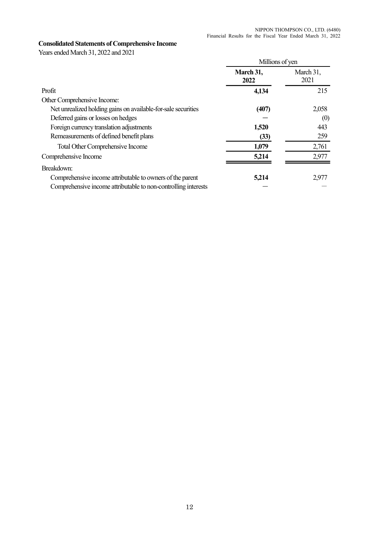# Consolidated Statements of Comprehensive Income

Years ended March 31, 2022 and 2021

|                                                                | Millions of yen   |                   |
|----------------------------------------------------------------|-------------------|-------------------|
|                                                                | March 31,<br>2022 | March 31,<br>2021 |
| Profit                                                         | 4,134             | 215               |
| Other Comprehensive Income:                                    |                   |                   |
| Net unrealized holding gains on available-for-sale securities  | (407)             | 2,058             |
| Deferred gains or losses on hedges                             |                   | (0)               |
| Foreign currency translation adjustments                       | 1,520             | 443               |
| Remeasurements of defined benefit plans                        | (33)              | 259               |
| Total Other Comprehensive Income                               | 1,079             | 2,761             |
| Comprehensive Income                                           | 5,214             | 2,977             |
| Breakdown:                                                     |                   |                   |
| Comprehensive income attributable to owners of the parent      | 5,214             | 2,977             |
| Comprehensive income attributable to non-controlling interests |                   |                   |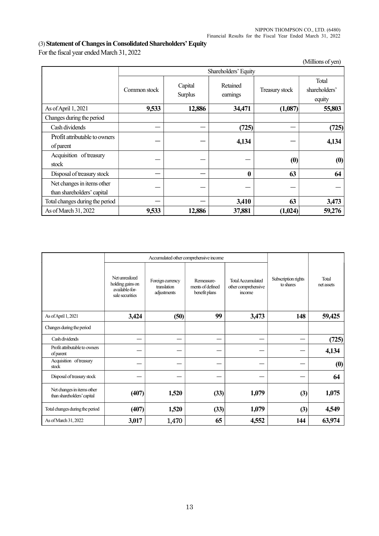# (3) Statement of Changes in Consolidated Shareholders' Equity

For the fiscal year ended March 31, 2022

|                                                          |              |                           |                      |                               | $(1, \text{min} \cup \text{min} \cup \text{min})$ |  |  |  |
|----------------------------------------------------------|--------------|---------------------------|----------------------|-------------------------------|---------------------------------------------------|--|--|--|
|                                                          |              | Shareholders' Equity      |                      |                               |                                                   |  |  |  |
|                                                          | Common stock | Capital<br><b>Surplus</b> | Retained<br>earnings | Treasury stock                | Total<br>shareholders'<br>equity                  |  |  |  |
| As of April 1, 2021                                      | 9,533        | 12,886                    | 34,471               | (1,087)                       | 55,803                                            |  |  |  |
| Changes during the period                                |              |                           |                      |                               |                                                   |  |  |  |
| Cash dividends                                           | –            |                           | (725)                |                               | (725)                                             |  |  |  |
| Profit attributable to owners<br>of parent               |              |                           | 4,134                |                               | 4,134                                             |  |  |  |
| Acquisition of treasury<br>stock                         |              |                           |                      | $\boldsymbol{\left(0\right)}$ | (0)                                               |  |  |  |
| Disposal of treasury stock                               |              |                           | $\mathbf{0}$         | 63                            | 64                                                |  |  |  |
| Net changes in items other<br>than shareholders' capital |              |                           |                      |                               |                                                   |  |  |  |
| Total changes during the period                          |              |                           | 3,410                | 63                            | 3,473                                             |  |  |  |
| As of March 31, 2022                                     | 9,533        | 12,886                    | 37,881               | (1,024)                       | 59,276                                            |  |  |  |

|                                                          |                                                                         | Accumulated other comprehensive income         |                                                 |                                                           |                                  |                     |
|----------------------------------------------------------|-------------------------------------------------------------------------|------------------------------------------------|-------------------------------------------------|-----------------------------------------------------------|----------------------------------|---------------------|
|                                                          | Net unrealized<br>holding gains on<br>available-for-<br>sale securities | Foreign currency<br>translation<br>adjustments | Remeasure-<br>ments of defined<br>benefit plans | <b>Total Accumulated</b><br>other comprehensive<br>income | Subscription rights<br>to shares | Total<br>net assets |
| As of April 1, 2021                                      | 3,424                                                                   | (50)                                           | 99                                              | 3,473                                                     | 148                              | 59,425              |
| Changes during the period                                |                                                                         |                                                |                                                 |                                                           |                                  |                     |
| Cash dividends                                           |                                                                         |                                                |                                                 |                                                           |                                  | (725)               |
| Profit attributable to owners<br>of parent               |                                                                         |                                                |                                                 |                                                           |                                  | 4,134               |
| Acquisition of treasury<br>stock                         |                                                                         |                                                |                                                 |                                                           |                                  | (0)                 |
| Disposal of treasury stock                               |                                                                         |                                                |                                                 |                                                           |                                  | 64                  |
| Net changes in items other<br>than shareholders' capital | (407)                                                                   | 1,520                                          | (33)                                            | 1,079                                                     | (3)                              | 1,075               |
| Total changes during the period                          | (407)                                                                   | 1,520                                          | (33)                                            | 1,079                                                     | (3)                              | 4,549               |
| As of March 31, 2022                                     | 3,017                                                                   | 1,470                                          | 65                                              | 4,552                                                     | 144                              | 63,974              |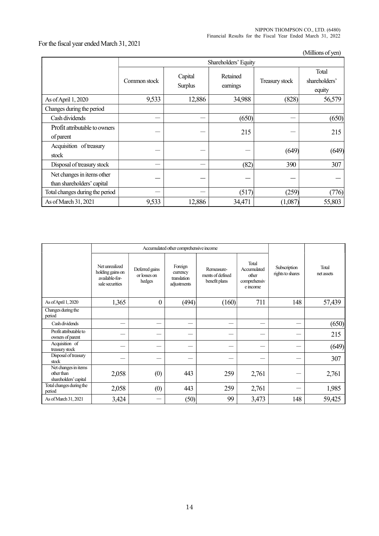NIPPON THOMPSON CO., LTD. (6480) Financial Results for the Fiscal Year Ended March 31, 2022

# For the fiscal year ended March 31, 2021

(Millions of yen)

|                                                          | Shareholders' Equity |                    |                      |                |                                  |  |  |
|----------------------------------------------------------|----------------------|--------------------|----------------------|----------------|----------------------------------|--|--|
|                                                          | Common stock         | Capital<br>Surplus | Retained<br>earnings | Treasury stock | Total<br>shareholders'<br>equity |  |  |
| As of April 1, 2020                                      | 9,533                | 12,886             | 34,988               | (828)          | 56,579                           |  |  |
| Changes during the period                                |                      |                    |                      |                |                                  |  |  |
| Cash dividends                                           |                      |                    | (650)                |                | (650)                            |  |  |
| Profit attributable to owners<br>of parent               |                      |                    | 215                  |                | 215                              |  |  |
| Acquisition of treasury<br>stock                         |                      |                    |                      | (649)          | (649)                            |  |  |
| Disposal of treasury stock                               |                      |                    | (82)                 | 390            | 307                              |  |  |
| Net changes in items other<br>than shareholders' capital |                      |                    |                      |                |                                  |  |  |
| Total changes during the period                          |                      |                    | (517)                | (259)          | (776)                            |  |  |
| As of March 31, 2021                                     | 9,533                | 12,886             | 34,471               | (1,087)        | 55,803                           |  |  |

|                                                             | Accumulated other comprehensive income                                  |                                          |                                                   |                                                 |                                                           |                                  |                     |
|-------------------------------------------------------------|-------------------------------------------------------------------------|------------------------------------------|---------------------------------------------------|-------------------------------------------------|-----------------------------------------------------------|----------------------------------|---------------------|
|                                                             | Net unrealized<br>holding gains on<br>available-for-<br>sale securities | Deferred gains<br>or losses on<br>hedges | Foreign<br>currency<br>translation<br>adjustments | Remeasure-<br>ments of defined<br>benefit plans | Total<br>Accumulated<br>other<br>comprehensiv<br>e income | Subscription<br>rights to shares | Total<br>net assets |
| As of April 1, 2020                                         | 1,365                                                                   | $\boldsymbol{0}$                         | (494)                                             | (160)                                           | 711                                                       | 148                              | 57,439              |
| Changes during the<br>period                                |                                                                         |                                          |                                                   |                                                 |                                                           |                                  |                     |
| Cash dividends                                              |                                                                         |                                          |                                                   |                                                 |                                                           |                                  | (650)               |
| Profit attributable to<br>owners of parent                  |                                                                         |                                          |                                                   |                                                 |                                                           |                                  | 215                 |
| Acquisition of<br>treasury stock                            |                                                                         |                                          |                                                   |                                                 |                                                           |                                  | (649)               |
| Disposal of treasury<br>stock                               |                                                                         |                                          |                                                   |                                                 |                                                           |                                  | 307                 |
| Net changes in items<br>other than<br>shareholders' capital | 2,058                                                                   | (0)                                      | 443                                               | 259                                             | 2,761                                                     |                                  | 2,761               |
| Total changes during the<br>period                          | 2,058                                                                   | (0)                                      | 443                                               | 259                                             | 2,761                                                     |                                  | 1,985               |
| As of March 31, 2021                                        | 3,424                                                                   |                                          | (50)                                              | 99                                              | 3,473                                                     | 148                              | 59,425              |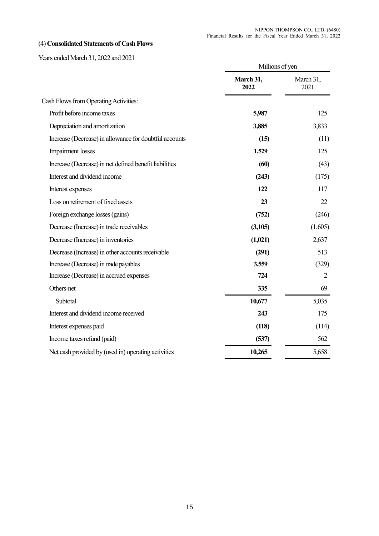# (4) Consolidated Statements of Cash Flows

Years ended March 31, 2022 and 2021

|                                                        | Millions of yen   |                   |
|--------------------------------------------------------|-------------------|-------------------|
|                                                        | March 31,<br>2022 | March 31,<br>2021 |
| Cash Flows from Operating Activities:                  |                   |                   |
| Profit before income taxes                             | 5,987             | 125               |
| Depreciation and amortization                          | 3,885             | 3,833             |
| Increase (Decrease) in allowance for doubtful accounts | (15)              | (11)              |
| <b>Impairment</b> losses                               | 1,529             | 125               |
| Increase (Decrease) in net defined benefit liabilities | (60)              | (43)              |
| Interest and dividend income                           | (243)             | (175)             |
| Interest expenses                                      | 122               | 117               |
| Loss on retirement of fixed assets                     | 23                | 22                |
| Foreign exchange losses (gains)                        | (752)             | (246)             |
| Decrease (Increase) in trade receivables               | (3,105)           | (1,605)           |
| Decrease (Increase) in inventories                     | (1,021)           | 2,637             |
| Decrease (Increase) in other accounts receivable       | (291)             | 513               |
| Increase (Decrease) in trade payables                  | 3,559             | (329)             |
| Increase (Decrease) in accrued expenses                | 724               | 2                 |
| Others-net                                             | 335               | 69                |
| Subtotal                                               | 10,677            | 5,035             |
| Interest and dividend income received                  | 243               | 175               |
| Interest expenses paid                                 | (118)             | (114)             |
| Income taxes refund (paid)                             | (537)             | 562               |
| Net cash provided by (used in) operating activities    | 10,265            | 5,658             |
|                                                        |                   |                   |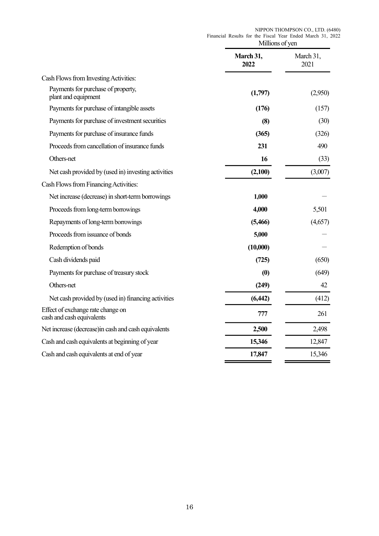|                                                                | Millions of yen   |                   |
|----------------------------------------------------------------|-------------------|-------------------|
|                                                                | March 31,<br>2022 | March 31,<br>2021 |
| Cash Flows from Investing Activities:                          |                   |                   |
| Payments for purchase of property,<br>plant and equipment      | (1,797)           | (2,950)           |
| Payments for purchase of intangible assets                     | (176)             | (157)             |
| Payments for purchase of investment securities                 | (8)               | (30)              |
| Payments for purchase of insurance funds                       | (365)             | (326)             |
| Proceeds from cancellation of insurance funds                  | 231               | 490               |
| Others-net                                                     | 16                | (33)              |
| Net cash provided by (used in) investing activities            | (2,100)           | (3,007)           |
| Cash Flows from Financing Activities:                          |                   |                   |
| Net increase (decrease) in short-term borrowings               | 1,000             |                   |
| Proceeds from long-term borrowings                             | 4,000             | 5,501             |
| Repayments of long-term borrowings                             | (5,466)           | (4,657)           |
| Proceeds from issuance of bonds                                | 5,000             |                   |
| Redemption of bonds                                            | (10,000)          |                   |
| Cash dividends paid                                            | (725)             | (650)             |
| Payments for purchase of treasury stock                        | (0)               | (649)             |
| Others-net                                                     | (249)             | 42                |
| Net cash provided by (used in) financing activities            | (6, 442)          | (412)             |
| Effect of exchange rate change on<br>cash and cash equivalents | 777               | 261               |
| Net increase (decrease) in cash and cash equivalents           | 2,500             | 2,498             |
| Cash and cash equivalents at beginning of year                 | 15,346            | 12,847            |
| Cash and cash equivalents at end of year                       | 17,847            | 15,346            |
|                                                                |                   |                   |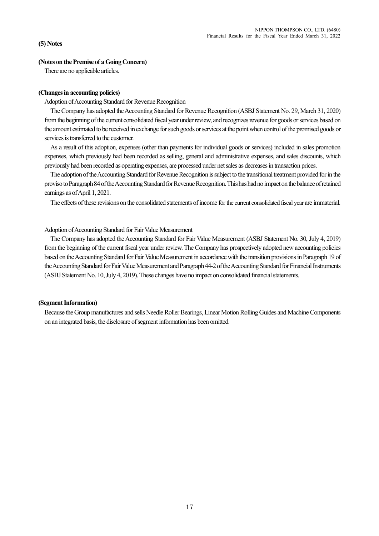### (5) Notes

#### (Notes on the Premise of a Going Concern)

There are no applicable articles.

### (Changes in accounting policies)

Adoption of Accounting Standard for Revenue Recognition

The Company has adopted the Accounting Standard for Revenue Recognition (ASBJ Statement No. 29, March 31, 2020) from the beginning of the current consolidated fiscal year under review, and recognizes revenue for goods or services based on the amount estimated to be received in exchange for such goods or services at the point when control of the promised goods or services is transferred to the customer.

As a result of this adoption, expenses (other than payments for individual goods or services) included in sales promotion expenses, which previously had been recorded as selling, general and administrative expenses, and sales discounts, which previously had been recorded as operating expenses, are processed under net sales as decreases in transaction prices.

The adoption of the Accounting Standard for Revenue Recognition is subject to the transitional treatment provided for in the proviso to Paragraph 84 of the Accounting Standard for Revenue Recognition. This has had no impact on the balance of retained earnings as of April 1, 2021.

The effects of these revisions on the consolidated statements of income for the current consolidated fiscal year are immaterial.

### Adoption of Accounting Standard for Fair Value Measurement

The Company has adopted the Accounting Standard for Fair Value Measurement (ASBJ Statement No. 30, July 4, 2019) from the beginning of the current fiscal year under review. The Company has prospectively adopted new accounting policies based on the Accounting Standard for Fair Value Measurement in accordance with the transition provisions in Paragraph 19 of the Accounting Standard for Fair Value Measurement and Paragraph 44-2 of the Accounting Standard for Financial Instruments (ASBJ Statement No. 10, July 4, 2019). These changes have no impact on consolidated financial statements.

#### (Segment Information)

Because the Group manufactures and sells Needle Roller Bearings, Linear Motion Rolling Guides and Machine Components on an integrated basis, the disclosure of segment information has been omitted.